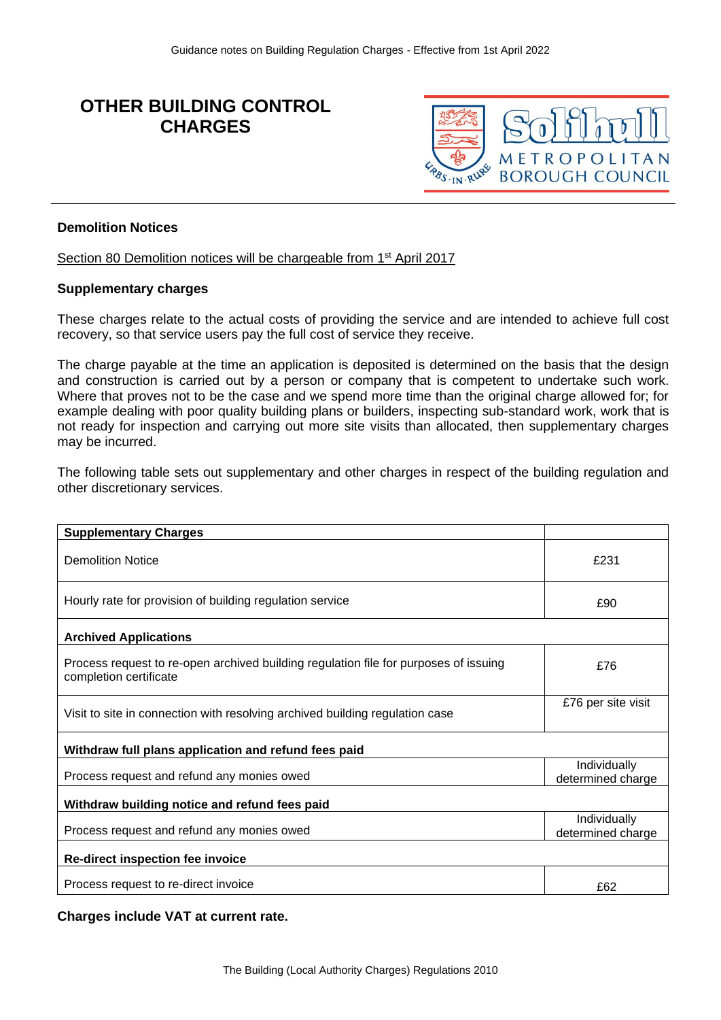# **OTHER BUILDING CONTROL CHARGES**



#### **Demolition Notices**

Section 80 Demolition notices will be chargeable from 1<sup>st</sup> April 2017

#### **Supplementary charges**

These charges relate to the actual costs of providing the service and are intended to achieve full cost recovery, so that service users pay the full cost of service they receive.

The charge payable at the time an application is deposited is determined on the basis that the design and construction is carried out by a person or company that is competent to undertake such work. Where that proves not to be the case and we spend more time than the original charge allowed for; for example dealing with poor quality building plans or builders, inspecting sub-standard work, work that is not ready for inspection and carrying out more site visits than allocated, then supplementary charges may be incurred.

The following table sets out supplementary and other charges in respect of the building regulation and other discretionary services.

| <b>Supplementary Charges</b>                                                                                   |                                   |
|----------------------------------------------------------------------------------------------------------------|-----------------------------------|
| <b>Demolition Notice</b>                                                                                       | £231                              |
| Hourly rate for provision of building regulation service                                                       | £90                               |
| <b>Archived Applications</b>                                                                                   |                                   |
| Process request to re-open archived building regulation file for purposes of issuing<br>completion certificate | £76                               |
| Visit to site in connection with resolving archived building regulation case                                   | £76 per site visit                |
| Withdraw full plans application and refund fees paid                                                           |                                   |
| Process request and refund any monies owed                                                                     | Individually<br>determined charge |
| Withdraw building notice and refund fees paid                                                                  |                                   |
| Process request and refund any monies owed                                                                     | Individually<br>determined charge |
| Re-direct inspection fee invoice                                                                               |                                   |
| Process request to re-direct invoice                                                                           | £62                               |

**Charges include VAT at current rate.**